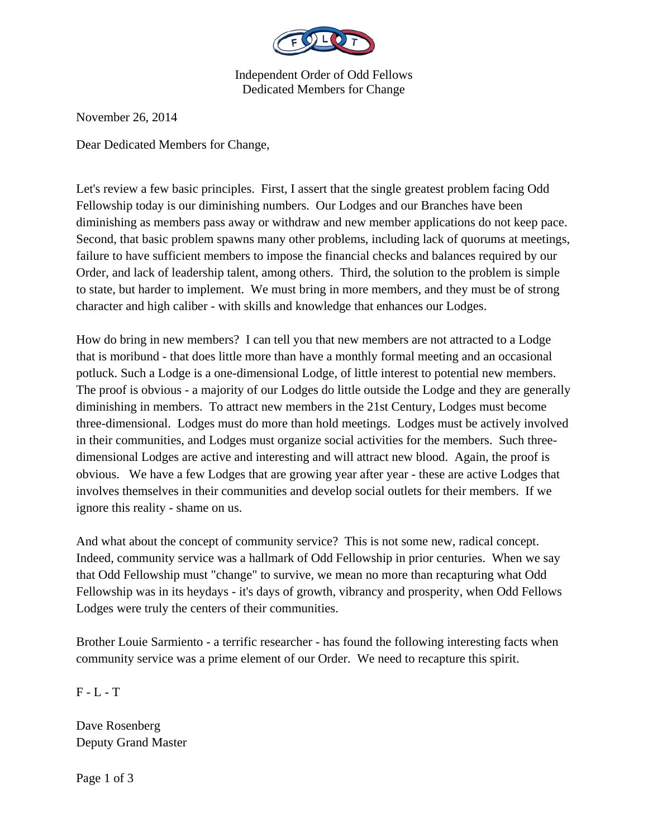

Independent Order of Odd Fellows Dedicated Members for Change

November 26, 2014

Dear Dedicated Members for Change,

Let's review a few basic principles. First, I assert that the single greatest problem facing Odd Fellowship today is our diminishing numbers. Our Lodges and our Branches have been diminishing as members pass away or withdraw and new member applications do not keep pace. Second, that basic problem spawns many other problems, including lack of quorums at meetings, failure to have sufficient members to impose the financial checks and balances required by our Order, and lack of leadership talent, among others. Third, the solution to the problem is simple to state, but harder to implement. We must bring in more members, and they must be of strong character and high caliber - with skills and knowledge that enhances our Lodges.

How do bring in new members? I can tell you that new members are not attracted to a Lodge that is moribund - that does little more than have a monthly formal meeting and an occasional potluck. Such a Lodge is a one-dimensional Lodge, of little interest to potential new members. The proof is obvious - a majority of our Lodges do little outside the Lodge and they are generally diminishing in members. To attract new members in the 21st Century, Lodges must become three-dimensional. Lodges must do more than hold meetings. Lodges must be actively involved in their communities, and Lodges must organize social activities for the members. Such threedimensional Lodges are active and interesting and will attract new blood. Again, the proof is obvious. We have a few Lodges that are growing year after year - these are active Lodges that involves themselves in their communities and develop social outlets for their members. If we ignore this reality - shame on us.

And what about the concept of community service? This is not some new, radical concept. Indeed, community service was a hallmark of Odd Fellowship in prior centuries. When we say that Odd Fellowship must "change" to survive, we mean no more than recapturing what Odd Fellowship was in its heydays - it's days of growth, vibrancy and prosperity, when Odd Fellows Lodges were truly the centers of their communities.

Brother Louie Sarmiento - a terrific researcher - has found the following interesting facts when community service was a prime element of our Order. We need to recapture this spirit.

F - L - T

Dave Rosenberg Deputy Grand Master

Page 1 of 3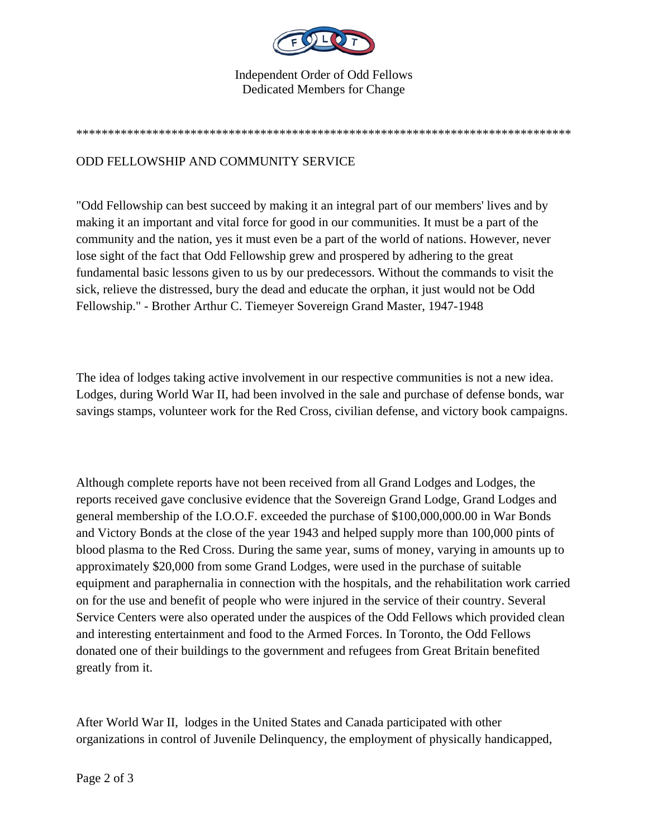

## Independent Order of Odd Fellows Dedicated Members for Change

\*\*\*\*\*\*\*\*\*\*\*\*\*\*\*\*\*\*\*\*\*\*\*\*\*\*\*\*\*\*\*\*\*\*\*\*\*\*\*\*\*\*\*\*\*\*\*\*\*\*\*\*\*\*\*\*\*\*\*\*\*\*\*\*\*\*\*\*\*\*\*\*\*\*\*\*\*\*

## ODD FELLOWSHIP AND COMMUNITY SERVICE

"Odd Fellowship can best succeed by making it an integral part of our members' lives and by making it an important and vital force for good in our communities. It must be a part of the community and the nation, yes it must even be a part of the world of nations. However, never lose sight of the fact that Odd Fellowship grew and prospered by adhering to the great fundamental basic lessons given to us by our predecessors. Without the commands to visit the sick, relieve the distressed, bury the dead and educate the orphan, it just would not be Odd Fellowship." - Brother Arthur C. Tiemeyer Sovereign Grand Master, 1947-1948

The idea of lodges taking active involvement in our respective communities is not a new idea. Lodges, during World War II, had been involved in the sale and purchase of defense bonds, war savings stamps, volunteer work for the Red Cross, civilian defense, and victory book campaigns.

Although complete reports have not been received from all Grand Lodges and Lodges, the reports received gave conclusive evidence that the Sovereign Grand Lodge, Grand Lodges and general membership of the I.O.O.F. exceeded the purchase of \$100,000,000.00 in War Bonds and Victory Bonds at the close of the year 1943 and helped supply more than 100,000 pints of blood plasma to the Red Cross. During the same year, sums of money, varying in amounts up to approximately \$20,000 from some Grand Lodges, were used in the purchase of suitable equipment and paraphernalia in connection with the hospitals, and the rehabilitation work carried on for the use and benefit of people who were injured in the service of their country. Several Service Centers were also operated under the auspices of the Odd Fellows which provided clean and interesting entertainment and food to the Armed Forces. In Toronto, the Odd Fellows donated one of their buildings to the government and refugees from Great Britain benefited greatly from it.

After World War II, lodges in the United States and Canada participated with other organizations in control of Juvenile Delinquency, the employment of physically handicapped,